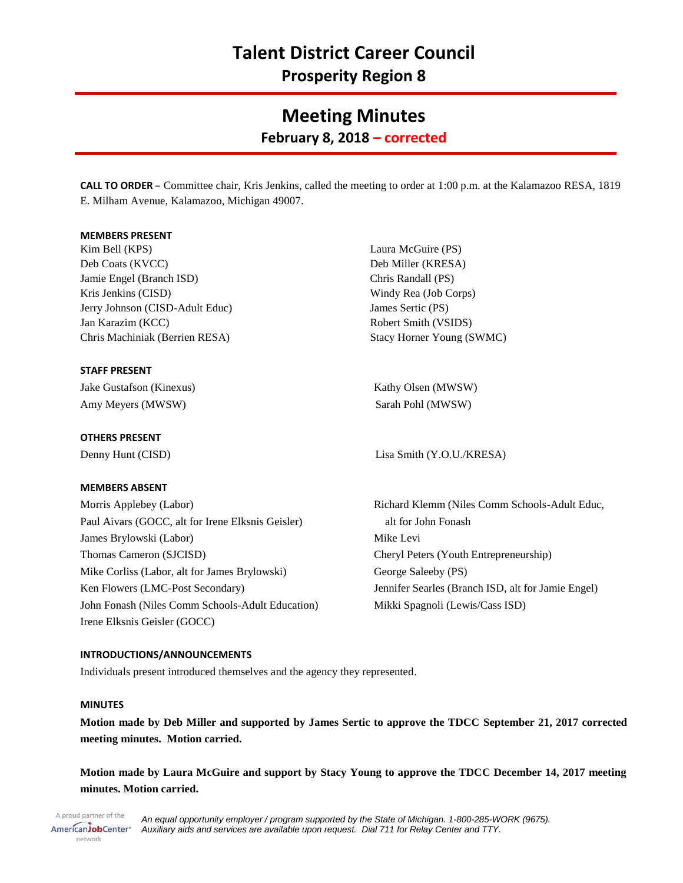**Meeting Minutes February 8, 2018 – corrected**

**CALL TO ORDER** – Committee chair, Kris Jenkins, called the meeting to order at 1:00 p.m. at the Kalamazoo RESA, 1819 E. Milham Avenue, Kalamazoo, Michigan 49007.

# **MEMBERS PRESENT**

Kim Bell (KPS) Deb Coats (KVCC) Jamie Engel (Branch ISD) Kris Jenkins (CISD) Jerry Johnson (CISD-Adult Educ) Jan Karazim (KCC) Chris Machiniak (Berrien RESA)

### **STAFF PRESENT**

Jake Gustafson (Kinexus) Kathy Olsen (MWSW) Amy Meyers (MWSW) Sarah Pohl (MWSW)

# **OTHERS PRESENT**

## **MEMBERS ABSENT**

Morris Applebey (Labor) Paul Aivars (GOCC, alt for Irene Elksnis Geisler) James Brylowski (Labor) Thomas Cameron (SJCISD) Mike Corliss (Labor, alt for James Brylowski) Ken Flowers (LMC-Post Secondary) John Fonash (Niles Comm Schools-Adult Education) Irene Elksnis Geisler (GOCC)

Laura McGuire (PS) Deb Miller (KRESA) Chris Randall (PS) Windy Rea (Job Corps) James Sertic (PS) Robert Smith (VSIDS) Stacy Horner Young (SWMC)

Denny Hunt (CISD) Lisa Smith (Y.O.U./KRESA)

Richard Klemm (Niles Comm Schools-Adult Educ, alt for John Fonash Mike Levi Cheryl Peters (Youth Entrepreneurship) George Saleeby (PS) Jennifer Searles (Branch ISD, alt for Jamie Engel) Mikki Spagnoli (Lewis/Cass ISD)

#### **INTRODUCTIONS/ANNOUNCEMENTS**

Individuals present introduced themselves and the agency they represented.

#### **MINUTES**

**Motion made by Deb Miller and supported by James Sertic to approve the TDCC September 21, 2017 corrected meeting minutes. Motion carried.**

**Motion made by Laura McGuire and support by Stacy Young to approve the TDCC December 14, 2017 meeting minutes. Motion carried.**

A proud partner of the *An equal opportunity employer / program supported by the State of Michigan. 1-800-285-WORK (9675).* AmericanJobCenter<sup>®</sup> *Auxiliary aids and services are available upon request. Dial 711 for Relay Center and TTY.* network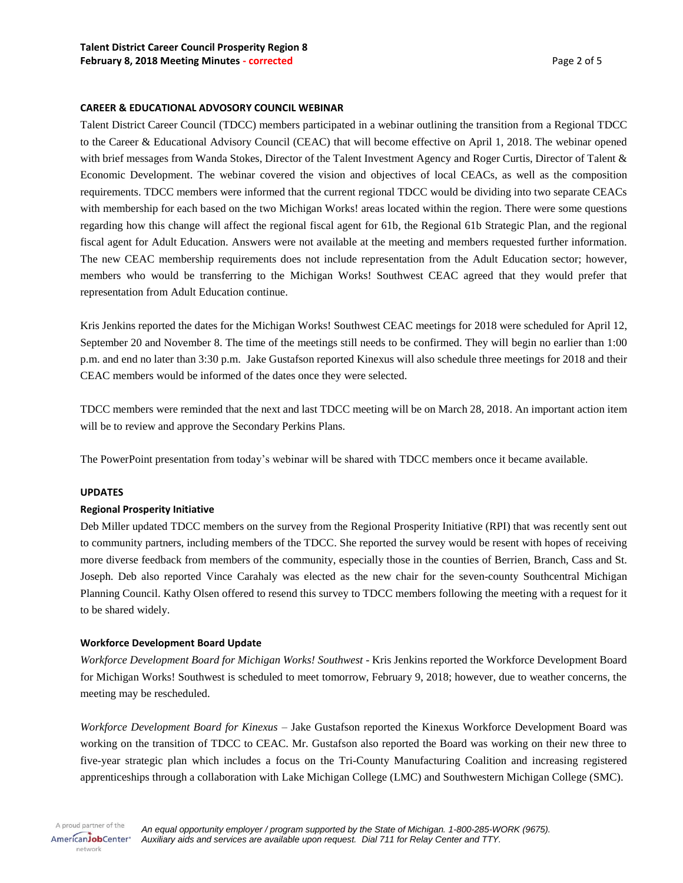## **CAREER & EDUCATIONAL ADVOSORY COUNCIL WEBINAR**

Talent District Career Council (TDCC) members participated in a webinar outlining the transition from a Regional TDCC to the Career & Educational Advisory Council (CEAC) that will become effective on April 1, 2018. The webinar opened with brief messages from Wanda Stokes, Director of the Talent Investment Agency and Roger Curtis, Director of Talent & Economic Development. The webinar covered the vision and objectives of local CEACs, as well as the composition requirements. TDCC members were informed that the current regional TDCC would be dividing into two separate CEACs with membership for each based on the two Michigan Works! areas located within the region. There were some questions regarding how this change will affect the regional fiscal agent for 61b, the Regional 61b Strategic Plan, and the regional fiscal agent for Adult Education. Answers were not available at the meeting and members requested further information. The new CEAC membership requirements does not include representation from the Adult Education sector; however, members who would be transferring to the Michigan Works! Southwest CEAC agreed that they would prefer that representation from Adult Education continue.

Kris Jenkins reported the dates for the Michigan Works! Southwest CEAC meetings for 2018 were scheduled for April 12, September 20 and November 8. The time of the meetings still needs to be confirmed. They will begin no earlier than 1:00 p.m. and end no later than 3:30 p.m. Jake Gustafson reported Kinexus will also schedule three meetings for 2018 and their CEAC members would be informed of the dates once they were selected.

TDCC members were reminded that the next and last TDCC meeting will be on March 28, 2018. An important action item will be to review and approve the Secondary Perkins Plans.

The PowerPoint presentation from today's webinar will be shared with TDCC members once it became available.

### **UPDATES**

### **Regional Prosperity Initiative**

Deb Miller updated TDCC members on the survey from the Regional Prosperity Initiative (RPI) that was recently sent out to community partners, including members of the TDCC. She reported the survey would be resent with hopes of receiving more diverse feedback from members of the community, especially those in the counties of Berrien, Branch, Cass and St. Joseph. Deb also reported Vince Carahaly was elected as the new chair for the seven-county Southcentral Michigan Planning Council. Kathy Olsen offered to resend this survey to TDCC members following the meeting with a request for it to be shared widely.

### **Workforce Development Board Update**

*Workforce Development Board for Michigan Works! Southwest* - Kris Jenkins reported the Workforce Development Board for Michigan Works! Southwest is scheduled to meet tomorrow, February 9, 2018; however, due to weather concerns, the meeting may be rescheduled.

*Workforce Development Board for Kinexus* – Jake Gustafson reported the Kinexus Workforce Development Board was working on the transition of TDCC to CEAC. Mr. Gustafson also reported the Board was working on their new three to five-year strategic plan which includes a focus on the Tri-County Manufacturing Coalition and increasing registered apprenticeships through a collaboration with Lake Michigan College (LMC) and Southwestern Michigan College (SMC).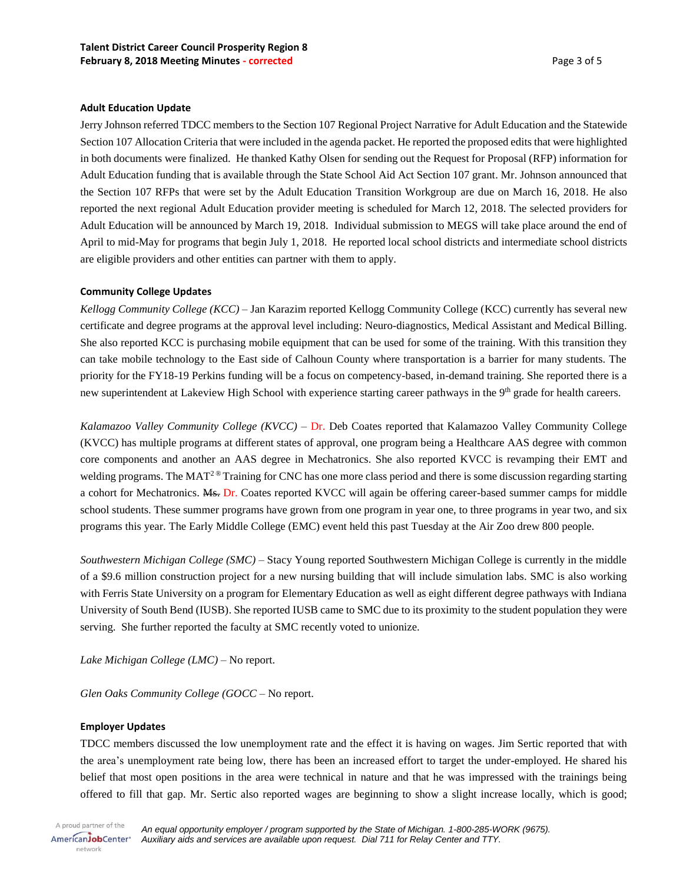### **Adult Education Update**

Jerry Johnson referred TDCC members to the Section 107 Regional Project Narrative for Adult Education and the Statewide Section 107 Allocation Criteria that were included in the agenda packet. He reported the proposed edits that were highlighted in both documents were finalized. He thanked Kathy Olsen for sending out the Request for Proposal (RFP) information for Adult Education funding that is available through the State School Aid Act Section 107 grant. Mr. Johnson announced that the Section 107 RFPs that were set by the Adult Education Transition Workgroup are due on March 16, 2018. He also reported the next regional Adult Education provider meeting is scheduled for March 12, 2018. The selected providers for Adult Education will be announced by March 19, 2018. Individual submission to MEGS will take place around the end of April to mid-May for programs that begin July 1, 2018. He reported local school districts and intermediate school districts are eligible providers and other entities can partner with them to apply.

# **Community College Updates**

*Kellogg Community College (KCC)* – Jan Karazim reported Kellogg Community College (KCC) currently has several new certificate and degree programs at the approval level including: Neuro-diagnostics, Medical Assistant and Medical Billing. She also reported KCC is purchasing mobile equipment that can be used for some of the training. With this transition they can take mobile technology to the East side of Calhoun County where transportation is a barrier for many students. The priority for the FY18-19 Perkins funding will be a focus on competency-based, in-demand training. She reported there is a new superintendent at Lakeview High School with experience starting career pathways in the 9<sup>th</sup> grade for health careers.

*Kalamazoo Valley Community College (KVCC)* – Dr. Deb Coates reported that Kalamazoo Valley Community College (KVCC) has multiple programs at different states of approval, one program being a Healthcare AAS degree with common core components and another an AAS degree in Mechatronics. She also reported KVCC is revamping their EMT and welding programs. The MAT<sup>2®</sup> Training for CNC has one more class period and there is some discussion regarding starting a cohort for Mechatronics. Ms. Dr. Coates reported KVCC will again be offering career-based summer camps for middle school students. These summer programs have grown from one program in year one, to three programs in year two, and six programs this year. The Early Middle College (EMC) event held this past Tuesday at the Air Zoo drew 800 people.

*Southwestern Michigan College (SMC)* – Stacy Young reported Southwestern Michigan College is currently in the middle of a \$9.6 million construction project for a new nursing building that will include simulation labs. SMC is also working with Ferris State University on a program for Elementary Education as well as eight different degree pathways with Indiana University of South Bend (IUSB). She reported IUSB came to SMC due to its proximity to the student population they were serving. She further reported the faculty at SMC recently voted to unionize.

*Lake Michigan College (LMC)* – No report.

*Glen Oaks Community College (GOCC* – No report.

### **Employer Updates**

TDCC members discussed the low unemployment rate and the effect it is having on wages. Jim Sertic reported that with the area's unemployment rate being low, there has been an increased effort to target the under-employed. He shared his belief that most open positions in the area were technical in nature and that he was impressed with the trainings being offered to fill that gap. Mr. Sertic also reported wages are beginning to show a slight increase locally, which is good;

A proud partner of the AmericanJobCenter<sup>®</sup> network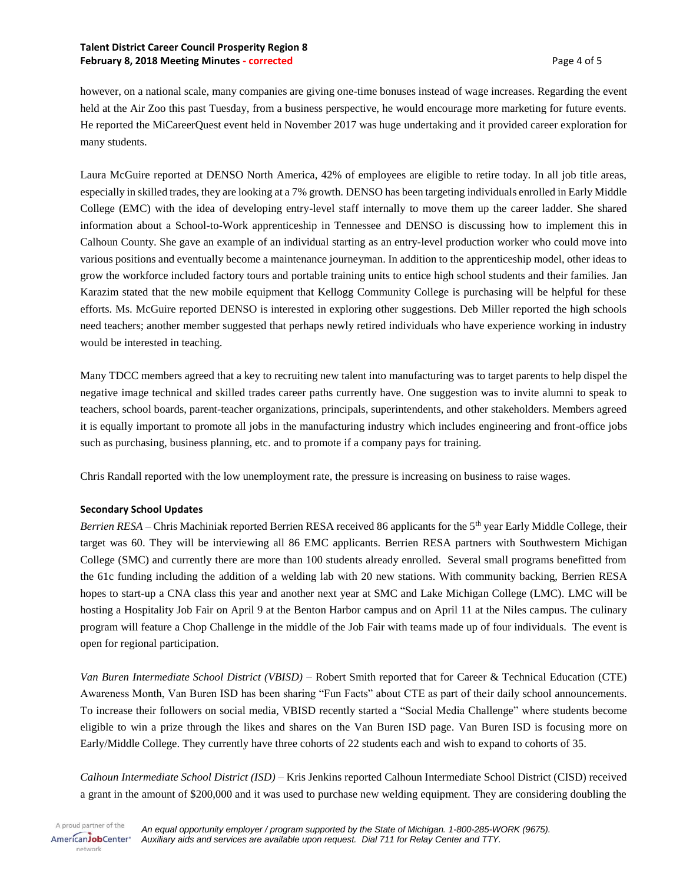# **Talent District Career Council Prosperity Region 8 February 8, 2018 Meeting Minutes - corrected** Page 4 of 5

however, on a national scale, many companies are giving one-time bonuses instead of wage increases. Regarding the event held at the Air Zoo this past Tuesday, from a business perspective, he would encourage more marketing for future events. He reported the MiCareerQuest event held in November 2017 was huge undertaking and it provided career exploration for many students.

Laura McGuire reported at DENSO North America, 42% of employees are eligible to retire today. In all job title areas, especially in skilled trades, they are looking at a 7% growth. DENSO has been targeting individuals enrolled in Early Middle College (EMC) with the idea of developing entry-level staff internally to move them up the career ladder. She shared information about a School-to-Work apprenticeship in Tennessee and DENSO is discussing how to implement this in Calhoun County. She gave an example of an individual starting as an entry-level production worker who could move into various positions and eventually become a maintenance journeyman. In addition to the apprenticeship model, other ideas to grow the workforce included factory tours and portable training units to entice high school students and their families. Jan Karazim stated that the new mobile equipment that Kellogg Community College is purchasing will be helpful for these efforts. Ms. McGuire reported DENSO is interested in exploring other suggestions. Deb Miller reported the high schools need teachers; another member suggested that perhaps newly retired individuals who have experience working in industry would be interested in teaching.

Many TDCC members agreed that a key to recruiting new talent into manufacturing was to target parents to help dispel the negative image technical and skilled trades career paths currently have. One suggestion was to invite alumni to speak to teachers, school boards, parent-teacher organizations, principals, superintendents, and other stakeholders. Members agreed it is equally important to promote all jobs in the manufacturing industry which includes engineering and front-office jobs such as purchasing, business planning, etc. and to promote if a company pays for training.

Chris Randall reported with the low unemployment rate, the pressure is increasing on business to raise wages.

# **Secondary School Updates**

*Berrien RESA* – Chris Machiniak reported Berrien RESA received 86 applicants for the 5<sup>th</sup> year Early Middle College, their target was 60. They will be interviewing all 86 EMC applicants. Berrien RESA partners with Southwestern Michigan College (SMC) and currently there are more than 100 students already enrolled. Several small programs benefitted from the 61c funding including the addition of a welding lab with 20 new stations. With community backing, Berrien RESA hopes to start-up a CNA class this year and another next year at SMC and Lake Michigan College (LMC). LMC will be hosting a Hospitality Job Fair on April 9 at the Benton Harbor campus and on April 11 at the Niles campus. The culinary program will feature a Chop Challenge in the middle of the Job Fair with teams made up of four individuals. The event is open for regional participation.

*Van Buren Intermediate School District (VBISD)* – Robert Smith reported that for Career & Technical Education (CTE) Awareness Month, Van Buren ISD has been sharing "Fun Facts" about CTE as part of their daily school announcements. To increase their followers on social media, VBISD recently started a "Social Media Challenge" where students become eligible to win a prize through the likes and shares on the Van Buren ISD page. Van Buren ISD is focusing more on Early/Middle College. They currently have three cohorts of 22 students each and wish to expand to cohorts of 35.

*Calhoun Intermediate School District (ISD)* – Kris Jenkins reported Calhoun Intermediate School District (CISD) received a grant in the amount of \$200,000 and it was used to purchase new welding equipment. They are considering doubling the

A proud partner of the *An equal opportunity employer / program supported by the State of Michigan. 1-800-285-WORK (9675).* AmericanJobCenter\* *Auxiliary aids and services are available upon request. Dial 711 for Relay Center and TTY.* network